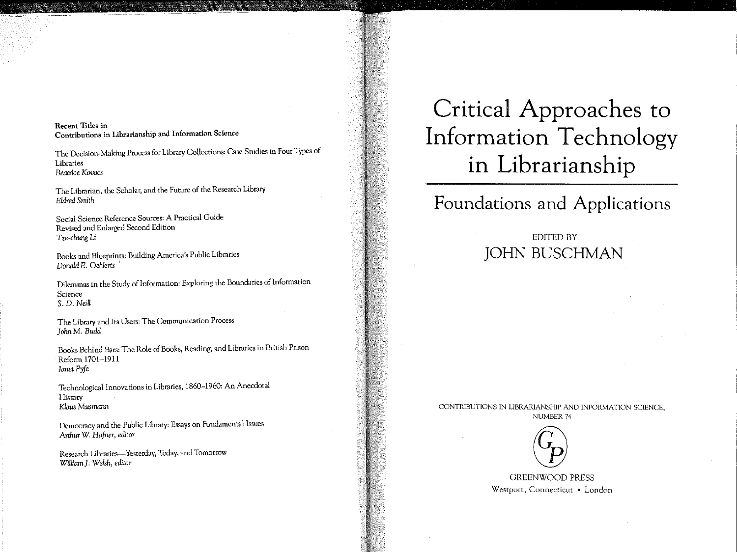Recent Titles in Contributions in Librarianship and Information Science

The Decision~Making Process for Library Collections: Case Studies in Four Types of Libraries *Beatrice Kovacs* 

The Librarian, the Scholar, and the Future of the Research Library *Eldred Smith* 

Social Science Reference Sources: A Practical Guide Revised and Enlarged Second Edition *Tze-chung* Li

Books and Blueprints: Building America's Public Libraries Donald E. Oehlerts

Dilemmas in the Study of Information: Exploring the Boundaries of Information Science S. D. *Neill* 

The Library and Its Users: The Communication Process  $John M. Budd$ 

Books Behind Bars: The Role of Books, Reading, and Libraries in British Prison Reform 1701-1911 *Janet Fyfe* 

Technological Innovations in Libraries, 1860-1960: An Anecdotal History *Klaus Musmann* 

Democracy and the Public Library: Essays on Fundamental Issues *Arthur* W: *Hafner, editor* 

Research Libraries-Yesterday, Today, and Tomorrow *William J. Welsh, editor* 

# Critical Approaches to Information Technology in Librarianship

## Foundations and Applications

## EDITED BY JOHN BUSCHMAN

CONTRIBUTIONS IN LIBRARIANSHIP AND INFORMATION SCIENCE, NUMBER 74



GREENWOOD PRESS Westport, Connecticut • London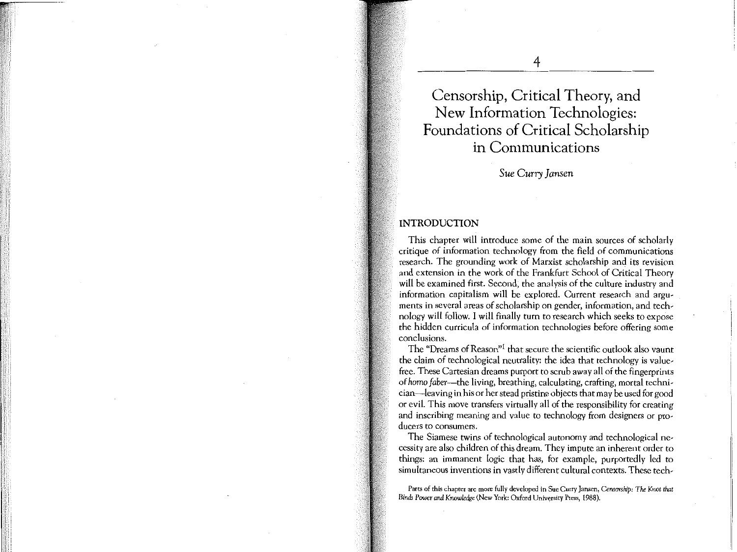**Censorship, Critical Theory, and New Information Technologies: Foundations of Critical Scholarship in Communications** 

**4** 

*Sue Curry Jansen* 

### **INTRODUCTION**

This chapter will introduce some of the main sources of scholarly critique of information technology from the field of communications research. The grounding work of Marxist scholarship and its revision and extension in the work of the Frankfurt School of Critical Theory will be examined first. Second, the analysis of the culture industry and information capitalism will be explored. Current research and arguments in several areas of scholarship on gender, information, and technology will follow. I will finally turn to research which seeks to expose the hidden curricula of information technologies before offering some conclusions.

The "Dreams of Reason"1 that secure the scientific outlook also vaunt the claim of technological neutrality: the idea that technology is valuefree. These Cartesian dreams purport to scrub away all of the fingerprints of *homo faber-the* living, breathing, calculating, crafting, mortal technician-leaving in his or her stead pristine objects that may be used for good or evil. This move transfers virtually all of the responsibility for creating and inscribing meaning and value to technology from designers or producers to consumers.

The Siamese twins of technological autonomy and technological necessity are also children of this dream. They impute an inherent order to things: an immanent logic that has, for example, purportedly led to simultaneous inventions in vastly different cultural contexts. These tech-

**Parts of this chapter are more fully developed in Sue Curry Jansen,** *Censarslup: The Knot that Binds Power* **and** *Knowledge* **(New York: Oxford University Press, 1988).**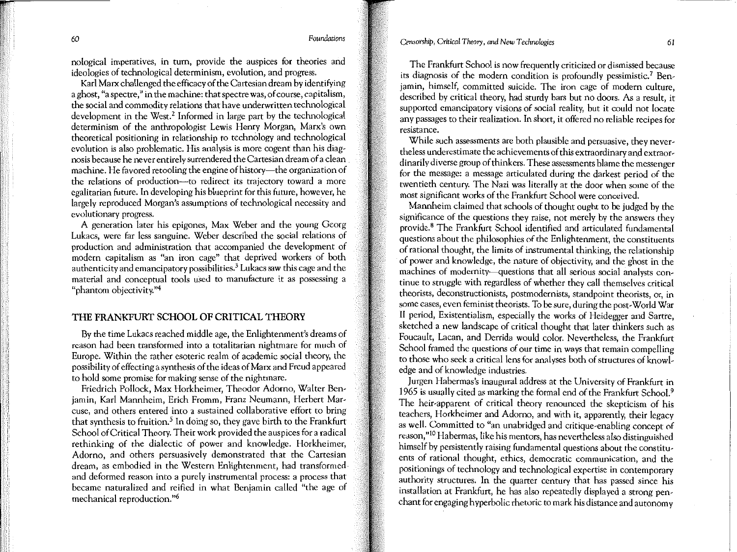*60 Foundations* 

nological imperatives, in tum, provide the auspices for theories and ideologies of technological determinism, evolution, and progress.

Karl Marx challenged the efficacy of the Cartesian dream by identifying a ghost, "a spectre," in the machine: that spectre was, of course, capitalism, the social and commodity relations that have underwritten technological development in the West.<sup>2</sup> Informed in large part by the technological determinism of the anthropologist Lewis Henry Morgan, Marx's own theoretical positioning in relationship to technology and technological evolution is also problematic. His analysis is more cogent than his diagnosis because he never entirely surrendered the Cartesian dream of a clean machine. He favored retooling the engine of history-the organization of the relations of production-to redirect its trajectory toward a more egalitarian future. In developing his blueprint for this future, however, he largely reproduced Morgan's assumptions of technological necessity and evolutionary progress.

A generation later his epigones, Max Weber and the young Georg Lukacs, were far less sanguine. Weber described the social relations of production and administration that accompanied the development of modem capitalism as "an iron cage" that deprived workers of both authenticity and emancipatory possibilities.3 Lukacs saw this cage and the material and conceptual tools used to manufacture it as possessing a "phantom objectivity."4

### **THE FRANKFURT SCHOOL OF CRITICAL THEORY**

By the time Lukacs reached middle age, the Enlightenment's dreams of reason had been transformed into a totalitarian nightmare for much of Europe. Within the rather esoteric realm of academic social theory, the possibility of effecting a synthesis of the ideas of Marx and Freud appeared to hold some promise for making sense of the nightmare.

Friedrich Pollock, Max Horkheimer, Theodor Adorno, Walter Benjamin, Karl Mannheim, Erich Fromm, Franz Neumann, Herbert Marcuse, and others entered into a sustained collaborative effort to bring that synthesis to fruition. *5* In doing so, they gave birth to the Frankfurt School of Critical Theory. Their work provided the auspices for a radical rethinking of the dialectic of power and knowledge. Horkheimer, Adorno, and others persuasively demonstrated that the Cartesian dream, as embodied in the Western Enlightenment, had transformed and deformed reason into a purely instrumental process: a process that became naturalized and reified in what Benjamin called "the age of mechanical reproduction."<sup>6</sup>

The Frankfurt School is now frequently criticized or dismissed because its diagnosis of the modern condition is profoundly pessimistic.<sup>7</sup> Benjamin, himself, committed suicide. The iron cage of modem culture, described by critical theory, had sturdy bars but no doors. As a result, it supported emancipatory visions of social reality, but it could not locate any passages to their realization. In short, it offered no reliable recipes for resistance.

While such assessments are both plausible and persuasive, they nevertheless underestimate the achievements of this extraordinary and extraordinarily diverse group of thinkers. These assessments blame the messenger for the message: a message articulated during the darkest period of the rwentieth century. The Nazi was literally at the door when some of the most significant works of the Frankfurt School were conceived.

Mannheim claimed that schools of thought ought to be judged by the significance of the questions they raise, not merely by the answers they provide. 8 The Frankfurt School identified and articulated fundamental questions about the philosophies of the Enlightenment, the constituents of rational thought, the limits of instrumental thinking, the relationship of power and knowledge, the nature of objectivity, and the ghost in the machines of modernity-questions that all serious social analysts continue to struggle with regardless of whether they call themselves critical theorists, deconstructionists, postmodernists, standpoint theorists, or, in some cases, even feminist theorists. To be sure, during the post-World War II period, Existentialism, especially the works of Heidegger and Sartre, sketched a new landscape of critical thought that later thinkers such as Foucault, Lacan, and Derrida would color. Nevertheless, the Frankfurt School framed the questions of our time in ways that remain compelling to those who seek a critical lens for analyses both of structures of knowledge and of knowledge industries.

Jurgen Habermas's inaugural address at the University of Frankfurt in 1965 is usually cited as marking the formal end of the Frankfurt School.9 The heir-apparent of critical theory renounced the skepticism of his teachers, Horkheimer and Adorno, and with it, apparently, their legacy as well. Committed to "an unabridged and critique-enabling concept of reason,"<sup>10</sup> Habermas, like his mentors, has nevertheless also distinguished himself by persistently raising fundamental questions about the constituents of rational thought, ethics, democratic communication, and the positionings of technology and technological expertise in contemporary authority structures. In the quarter century that has passed since his installation at Frankfurt, he has also repeatedly displayed a strong penchant for engaging hyperbolic rhetoric to mark his distance and autonomy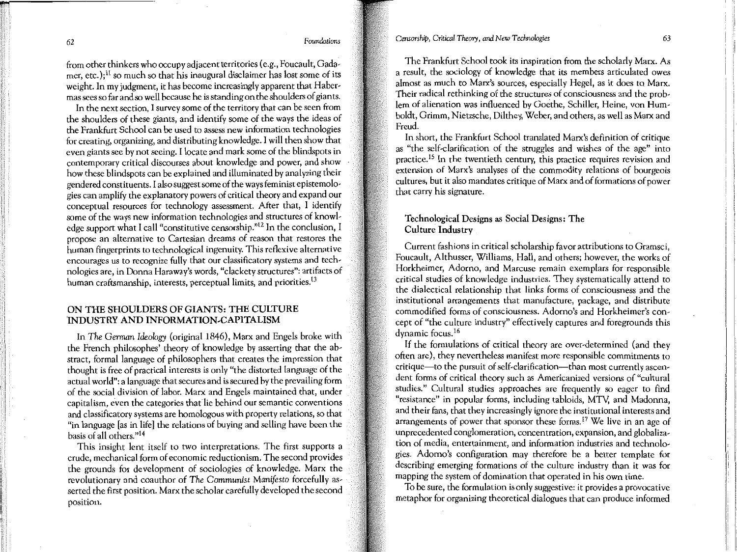62 *Foundations* 

from other thinkers who occupy adjacent territories (e.g., Foucault, Gadamer, etc.);<sup>11</sup> so much so that his inaugural disclaimer has lost some of its weight. In my judgment, it has become increasingly apparent that Habermas sees so far and so well because he is standing on the shoulders of giants.

In the next section, I survey some of the territory that can be seen from the shoulders of these giants, and identify some of the ways the ideas of the Frankfurt School can be used to assess new information technologies for creating, organizing, and distributing knowledge. I will then show that even giants see by not seeing. I locate and mark some of the blindspots in contemporary critical discourses about knowledge and power, and show how these blindspots can be explained and illuminated by analyzing their gendered constituents. I also suggest some of the ways feminist epistemologies can amplify the explanatory powers of critical theory and expand our conceptual resources for technology assessment. After that, I identify some of the ways new information technologies and structures of knowledge support what I call "constitutive censorship."12 In the conclusion, I propose an alternative to Cartesian dreams of reason that restores the human fingerprints to technological ingenuity. This reflexive alternative encourages us to recognize fully that our classificatory systems and technologies are, in Donna Haraway's words, "clackety structures": artifacts of human craftsmanship, interests, perceptual limits, and priorities.<sup>13</sup>

### ON THE SHOULDERS OF GIANTS: THE CULTURE lNDUSTRY AND INFORMATION-CAPlTALISM

In *The German Ideology* (original 1846), Marx and Engels broke with the French philosophes' theory of knowledge by asserting that the abstract, formal language of philosophers that creates the impression that thought is free of practical interests is only "the distorted language of the actual world": a language that secures and is secured by the prevailing form of the social division of labor. Marx and Engels maintained that, under capitalism, even the categories that lie behind our semantic conventions and classificatory systems are homologous with property relations, so that "in language [as in life] the relations of buying and selling have been the basis of all others."14

This insight lent itself to two interpretations. The first supports a crude, mechanical form of economic reductionism. The second provides the grounds for development of sociologies of knowledge. Marx the revolutionary and coauthor of *The Communist Manifesto* forcefully asserted the first position. Marx the scholar carefully developed the second position.

The Frankfurt School took its inspiration from the scholarly Marx. As a result, the sociology of knowledge that its members articulated owes almost as much to Marx's sources, especially Hegel, as it does to Marx. Their radical rethinking of the structures of consciousness and the problem of alienation was influenced by Goethe, Schiller, Heine, von Humboldt, Grimm, Nietzsche, Dilthey, Weber, and others, as well as Marx and Freud.

In short, the Frankfurt School translated Marx's definition of critique as "the self-clarification of the struggles and wishes of the age" into practice.15 In the twentieth century, this practice requires revision and extension of Marx's analyses of the commodity relations of bourgeois cultures, but it also mandates critique of Marx and of formations of power that carry his signature.

### Technological Designs as Social Designs: The Culture Industry

Current fashions in critical scholarship favor attributions to Gramsci, Foucault, Althusser, Williams, Hall, and others; however, the works of Horkheimer, Adorno, and Marcuse remain exemplars for responsible critical studies of knowledge industries. They systematically attend to the dialectical relationship that links forms of consciousness and the institutional arrangements that manufacture, package, and distribute commodified forms of consciousness. Adorno's and Horkheimer's concept of "the culture industry" effectively captures and foregrounds this dynamic focus. l6

If the formulations of critical theory are over-determined (and they often are), they nevertheless manifest more responsible commitments to critique-to the pursuit of self-clarification-than most currently ascendent forms of critical theory such as Americanized versions of "cultural studies." Cultural studies approaches are frequently so eager to find "resistance" in popular forms, including tabloids, MTY, and Madonna, and their fans, that they increasingly ignore the institutional interests and arrangements of power that sponsor these forms.<sup>17</sup> We live in an age of unprecedented conglomeration, concentration, expansion, and globalization of media, entertainment, and information industries and technologies. Adorno's configuration may therefore be a better template for describing emerging formations of the culture industry than it was for mapping the system of domination that operated in his own time.

To be sure, the formulation is only suggestive: it provides a provocative metaphor for organizing theoretical dialogues that can produce informed

i ,1 'I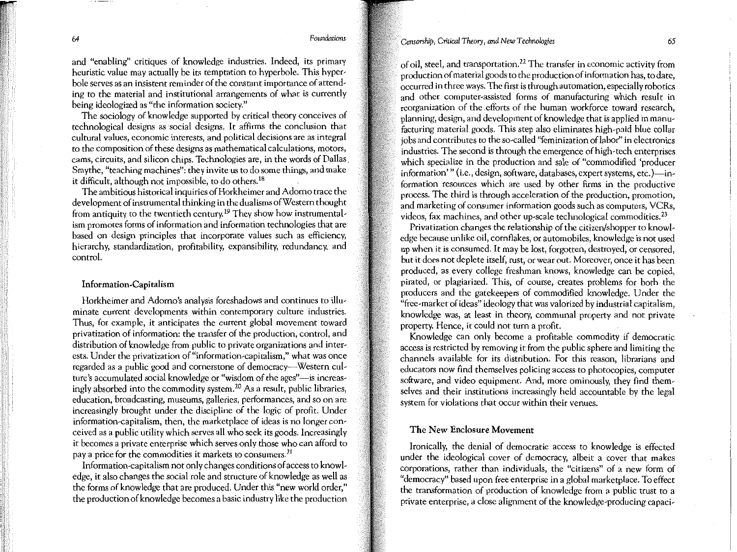*64 Foundations* 

and "enabling" critiques of knowledge industries. Indeed, its primary heuristic value may actually be its temptation to hyperbole. This hyperbole serves as an insistent reminder of the constant importance of attending to the material and institutional arrangements of what is currently being ideologized as "the information society."

The sociology of knowledge supported by critical theory conceives of technological designs as social designs. It affirms the conclusion that cultural values, economic interests, and political decisions are as integral to the composition of these designs as mathematical calculations, motors, cams, circuits, and silicon chips. Technologies are, in the words of Dallas. Smythe, "teaching machines": they invite us to do some things, and make it difficult, although not impossible, to do others.<sup>18</sup>

The ambitious historical inquiries of Horkheimer and Adorno trace the development of instrumental thinking in the dualisms of Western thought from antiquity to the twentieth century. 19 They show how instrumentalism promotes forms of information and information technologies that are based on design principles that incorporate values such as efficiency, hierarchy, standardization, profitability, expansibility, redundancy, and control.

### Information-Capitalism

Horkheimer and Adorno's analysis foreshadows and continues to illuminate current developments within contemporary culture industries. Thus, for example, it anticipates the current global movement toward privatization of information: the transfer of the production, control, and distribution of knowledge from public to private organizations and interests. Under the privatization of "information-capitalism," what was once regarded as a public good and cornerstone of democracy---Western culture's accumulated social knowledge or "wisdom of the ages"—is increasingly absorbed into the commodity system.<sup>20</sup> As a result, public libraries, education, broadcasting, museums, galleries, performances, and so on are increasingly brought under the discipline of the logic of profit. Under information-capitalism, then, the marketplace of ideas is no longer conceived as a public utility which serves all who seek its goods. Increasingly it becomes a private enterprise which serves only those who can afford to pay a price for the commodities it markets to consumers.<sup>21</sup>

Information-capitalism not only changes conditions of access to knowledge, it also changes the social role and structure of knowledge as well as the forms of knowledge that are produced. Under this "new world order," the production of knowledge becomes a basic industry like the production of oil, steel, and transportation.<sup>22</sup>The transfer in economic activity from production of material goods to the production of information has, to date, occurred in three ways. The first is through automation, especially robotics and other computer-assisted forms of manufacturing which result in reorganization of the efforts of the human workforce toward research, planning, design, and development of knowledge that is applied in manufacturing material goods. This step also eliminates high-paid blue collar jobs and contributes to the so-called "feminization of labor" in electronics industries. The second is through the emergence of high-tech enterprises which specialize in the production and sale of "commodified 'producer information'" (i.e., design, software, databases, expert systems, etc.)-information resources which are used by other firms in the productive process. The third is through acceleration of the production, promotion, and marketing of consumer information goods such as computers, VCRs, videos, fax machines, and other up-scale technological commodities. <sup>23</sup>

Privatization changes the relationship of the citizen/shopper to knowledge because unlike oil, cornflakes, or automobiles, knowledge is not used up when it is consumed. It may be lost, forgotten, destroyed, or censored, but it does not deplete itself, rust, or wear out. Moreover, once it has been produced, as every college freshman knows, knowledge can be copied, pirated, or plagiarized. This, of course, creates problems for both the producers and the gatekeepers of commodified knowledge. Under the "free-market of ideas" ideology that was valorized by industrial capitalism, knowledge was, at least in theory, communal property and not private property. Hence, it could not turn a profit.

Knowledge can only become a profitable commodity if democratic access is restricted by removing it from the public sphere and limiting the channels available for its distribution. For this reason, librarians and educators now find themselves policing access to photocopies, computer software, and video equipment. And, more ominously, they find themselves and their institutions increasingly held accountable by the legal system for violations that occur within their venues.

### The New Enclosure Movement

Ironically, the denial of democratic access to knowledge is effected under the ideological cover of democracy, albeit a cover that makes corporations, rather than individuals, the "citizens" of a new form of "democracy" based upon free enterprise in a global marketplace. To effect the transformation of production of knowledge from a public trust to a private enterprise, a close alignment of the knowledge-producing capaci-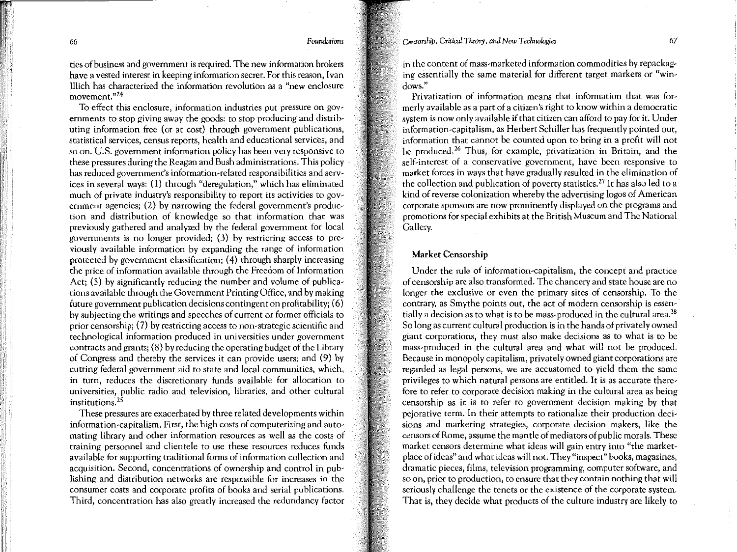66 *Foundations* 

ties of business and government is required. The new information brokers have a vested interest in keeping information secret. For this reason, I van Illich has characterized the information revolution as a "new enclosure **movement."24** 

To effect this enclosure, information industries put pressure on governments to stop giving away the goods: to stop producing and distributing information free (or at cost) through government publications, statistical services, census reports, health and educational services, and so on. U.S. government information policy has been very responsive to these pressures during the Reagan and Bush administrations. This policy · has reduced government's information-related responsibilities and services in several ways: ( 1) through "deregulation," which has elfminated much of private industry's responsibility to report its activities to government agencies; (2) by narrowing the federal government's production and distribution of knowledge so that information that was previously gathered and analyzed by the federal government for local governments is no longer provided; (3) by restricting access to previously available information by expanding the range of information protected by government classification; (4) through sharply increasing the price of information available through the Freedom of Information Act; (5) by significantly reducing the number and volume of publications available through the Government Printing Office, and by making future government publication decisions contingent on profitability; ( 6) by subjecting the writings and speeches of current or former officials to prior censorship; (7) by restricting access to non-strategic scientific and technological information produced in universities under government contracts and grants; ( 8) by reducing the operating budget of the Library of Congress and thereby the services it can provide users; and (9) by cutting federal government aid to state and local communities, which, in turn, reduces the discretionary funds available for allocation to universities, public radio and television, libraries, and other cultural institutions. 25

These pressures are exacerbated by three related developments within information-capitalism. First, the high costs of computerizing and automating library and other information resources as well as the costs of training personnel and clientele to use these resources reduces funds available for supporting traditional forms of information collection and acquisition. Second, concentrations of ownership and control in publishing and distribution networks are responsible for increases in the consumer costs and corporate profits of books and serial publications. Third, concentration has also greatly increased the redundancy factor

in the content of mass-marketed information commodities by repackaging essentially the same material for different target markets or "win**dows."** 

Privatization of information means that information that was formerly available as a part of a citizen's right to know within a democratic system is now only available if that citizen can afford to pay for it. Under information-capitalism, as Herbert Schiller has frequently pointed out, information that cannot be counted upon to bring in a profit will not be produced.26 Thus, for example, privatization in Britain, and the self-interest of a conservative government, have been responsive to market forces in ways that have gradually resulted in the elimination of the collection and publication of poverty statistics.<sup>27</sup> It has also led to a kind of reverse colonization whereby the advertising logos of American corporate sponsors are now prominently displayed on the programs and promotions for special exhibits at the British Museum and The National Gallery.

### Market Censorship

Under the rule of information-capitalism, the concept and practice of censorship are also transformed. The chancery and state house are no longer the exclusive or even the primary sites of censorship. To the contrary, as Smythe points out, the act of modern censorship is essentially a decision as to what is to be mass-produced in the cultural area.<sup>28</sup> So long as current cultural production is in the hands of privately owned giant corporations, they must also make decisions as to what is to be mass-produced in the cultural area and what will not be produced. Because in monopoly capitalism, privately owned giant corporations are regarded as legal persons, we are accustomed to yield them the same privileges to which natural persons are entitled. It is as accurate therefore to refer to corporate decision making in the cultural area as being censorship as it is to refer to government decision making by that pejorative term. In their attempts to rationalize their production decisions and marketing strategies, corporate decision makers, like the censors of Rome, assume the mantle of mediators of public morals. These market censors determine what ideas will gain entry into "the marketplace of ideas" and what ideas will not. They "inspect" books, magazines, dramatic pieces, films, television programming, computer software, and so on, prior to production, to ensure that they contain nothing that will seriously challenge the tenets or the existence of the corporate system. That is, they decide what products of the culture industry are likely to

 $\mathbb{H}^+$ 

*(* !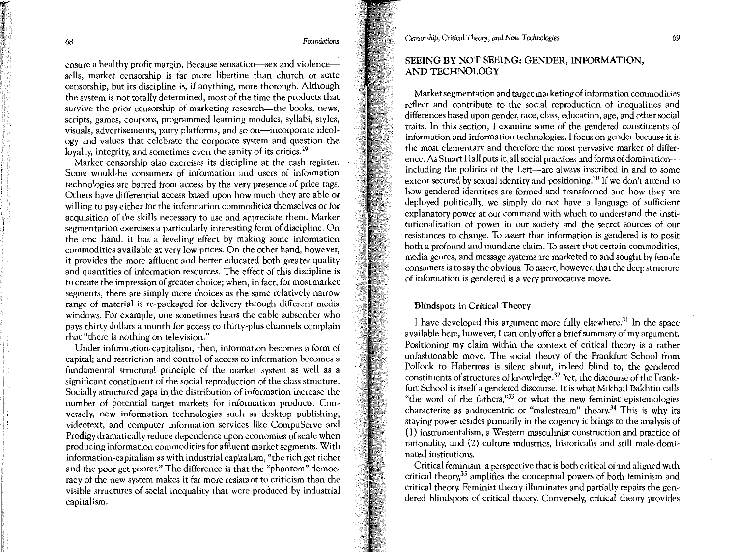ensure a healthy profit margin. Because sensation—sex and violence sells, market censorship is far more libertine than church or state censorship, but its discipline is, if anything, more thorough. Although the system is not totally determined, most of the time the products that survive the prior censorship of marketing research-the books, news, scripts, games, coupons, programmed learning modules, syllabi, styles, visuals, advertisements, party platforms, and so on-incorporate ideology and values that celebrate the corporate system and question the loyalty, integrity, and sometimes even the sanity of its critics.<sup>29</sup>

Market censorship also exercises its discipline at the cash register. Some would-be consumers of information and users of information technologies are barred from access by the very presence of price tags. Others have differential access based upon how much they are able or willing to pay either for the information commodities themselves or for acquisition of the skills necessary to use and appreciate them. Market segmentation exercises a particularly interesting form of discipline. On the one hand, it has a leveling effect by making some information commodities available at very low prices. On the other hand, however, it provides the more affluent and better educated both greater quality and quantities of information resources. The effect of this discipline is to create the impression of greater choice; when, in fact, for most market segments, there are simply more choices as the same relatively narrow range of material is re-packaged for delivery through different media windows. For example, one sometimes hears the cable subscriber who pays thirty dollars a month for access to thirty-plus channels complain that "there is nothing on television."

Under information-capitalism, then, information becomes a form of capital; and restriction and control of access to information becomes a fundamental structural principle of the market system as well as a significant constituent of the social reproduction of the class structure. Socially structured gaps in the distribution of information increase the number of potential target markets for information products. Conversely, new information technologies such as desktop publishing, videotext, and computer information services like CompuServe and Prodigy dramatically reduce dependence upon economies of scale when producing information commodities for affluent market segments. With information-capitalism as with industrial capitalism, "the rich get richer and the poor get poorer." The difference is that the "phantom" democracy of the new system makes it far more resistant to criticism than the visible structures of social inequality that were produced by industrial capitalism.

*Censorship, Critical Theory,* and *New Technologies* 

### SEEING BY NOT SEEING: GENDER, INFORMATION, AND TECHNOLOGY

Market segmentation and target marketing of information commodities reflect and contribute to the social reproduction of inequalities and differences based upon gender, race, class, education, age, and other social traits. In this section, I examine some of the gendered constituents of information and information technologies. I focus on gender because it is the most elementary and therefore the most pervasive marker of difference. As Stuart Hall puts it, all social practices and forms of dominationincluding the politics of the Left-are always inscribed in and to some extent secured by sexual identity and positioning.<sup>30</sup> If we don't attend to how gendered identities are formed and transformed and how they are deployed politically, we simply do not have a language of sufficient explanatory power at our command with which to understand the institutionalization of power in our society and the secret sources of our resistances to change. To assert that information is gendered is to posit both a profound and mundane claim. To assert that certain commodities, media genres, and message systems are marketed to and sought by female consumers is to say the obvious. To assert, however, that the deep structure of information is gendered is a very provocative move.

### Blindspots in Critical Theory

I have developed this argument more fully elsewhere.<sup>31</sup> In the space available here, however, I can only offer a brief summary of my argument. Positioning my claim within the context of critical theory is a rather unfashionable move. The social theory of the Frankfurt School from Pollock to Habermas is silent about, indeed blind to, the gendered constituents of structures of knowledge.<sup>32</sup> Yet, the discourse of the Frankfurt School is itself a gendered discourse. It is what Mikhail Bakhtin calls "the word of the fathers,"33 or what the new feminist epistemologies characterize as androcentric or "malestream" theory.34 This is why its staying power resides primarily in the cogency it brings to the analysis of (I) instrumentalism, a Western masculinist construction and practice of rationality, and (2) culture industries, historically and still male-dominated institutions.

Critical feminism, a perspective that is both critical of and aligned with critical theory,<sup>35</sup> amplifies the conceptual powers of both feminism and critical theory. Feminist theory illuminates and partially repairs the gendered blindspots of critical theory. Conversely, critical theory provides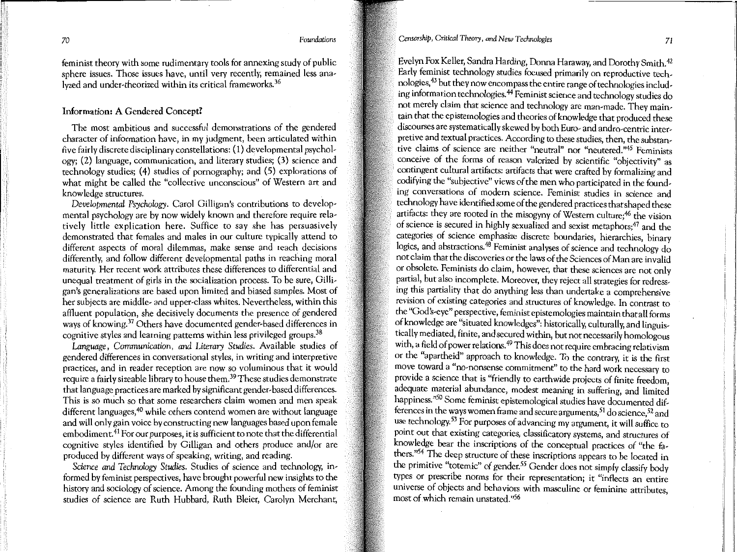feminist theory with some rudimentary tools for annexing study of public sphere issues. Those issues have, until very recently, remained less analyzed and under-theorized within its critical frameworks. <sup>36</sup>

### Information: A Gendered Concept?

The most ambitious and successful demonstrations of the gendered character of information have, in my judgment, been articulated within five fairly discrete disciplinary constellations: ( 1) developmental psychology; (2) language, communication, and literary studies; (3) science and technology studies; (4) studies of pornography; and (5) explorations of what might be called the "collective unconscious" of Western art and knowledge structures.

*Developmental Psychology.* Carol Gilligan's contributions to developmental psychology are by now widely known and therefore require relatively little explication here. Suffice to say she has persuasively demonstrated that females and males in our culture typically attend to different aspects of moral dilemmas, make sense and reach decisions differently, and follow different developmental paths in reaching moral maturity. Her recent work attributes these differences to differential and unequal treatment of girls in the socialization process. To be sure, Gilligan's generalizations are based upon limited and biased samples. Most of her subjects are middle- and upper-class whites. Nevertheless, within this affluent population, she decisively documents the presence of gendered ways of knowing.<sup>37</sup> Others have documented gender-based differences in cognitive styles and learning patterns within less privileged groups.<sup>38</sup>

*Language, Communication, and Literary Studies.* Available studies of gendered differences in conversational styles, in writing and interpretive practices, and in reader reception are now so voluminous that it would require a fairly sizeable library to house them.39 These studies demonstrate that language practices are marked by significant gender-based differences. This is so much so that some researchers claim women and men speak different languages,<sup>40</sup> while others contend women are without language and will only gain voice by constructing new languages based upon female embodiment.<sup>41</sup> For our purposes, it is sufficient to note that the differential cognitive styles identified by Gilligan and others produce and/or are produced by different ways of speaking, writing, and reading.

*Science and Technology Studies.* Studies of science and technology, informed by feminist perspectives, have brought powerful new insights to the history and sociology of science. Among the founding mothers of feminist studies of science are Ruth Hubbard, Ruth Bleier, Carolyn Merchant, *Censorship, Critical Theory, and New Technologies* <sup>71</sup>

Evelyn Fox Keller, Sandra Harding, Donna Haraway, and Dorothy Smith.42 Early feminist technology studies focused primarily on reproductive technologies,43 but they now encompass the entire range of technologies including information technologies.44 Feminist science and technology studies do not merely claim that science and technology are man-made. They maintain that the epistemologies and theories of knowledge that produced these discourses are systematically skewed by both Euro- and andro-centric interpretive and textual practices. According to these studies, then, the substan**tive claims of science are neither "neutral" nor "neutered."45 Feminists**  conceive of the forms of reason valorized by scientific "objectivity" as contingent cultural artifacts: artifacts that were crafted by formalizing and codifying the "subjective" views of the men who participated in the founding conversations of modem science. Feminist studies in science and technology have identified some of the gendered practices that shaped these artifacts: they are rooted in the misogyny of Western culture;<sup>46</sup> the vision of science is secured in highly sexualized and sexist metaphors;47 and the categories of science emphasize discrete boundaries, hierarchies, binary logics, and abstractions.<sup>48</sup> Feminist analyses of science and technology do not claim that the discoveries or the laws of the Sciences of Man are invalid or obsolete. Feminists do claim, however, that these sciences are not only partial, but also incomplete. Moreover, they reject all strategies for redressing this partiality that do anything less than undertake a comprehensive revision of existing categories and structures of knowledge. In contrast to the "God's-eye" perspective, feminist epistemologies maintain that all forms of knowledge are "situated knowledges": historically, culturally, and linguistically mediated, finite, and secured within, but not necessarily homologous with, a field of power relations.<sup>49</sup> This does not require embracing relativism or the "apartheid" approach to knowledge. To the contrary, it is the first move toward a "no-nonsense commitment'' to the hard work necessary to provide a science that is "friendly to earthwide projects of finite freedom adequate material abundance, modest meaning in suffering, and limited happiness."<sup>50</sup> Some feminist epistemological studies have documented differences in the ways women frame and secure arguments,  $51$  do science,  $52$  and use technology.<sup>53</sup> For purposes of advancing my argument, it will suffice to point out that existing categories, classificatory systems, and structures of knowledge bear the inscriptions of the conceptual practices of "the fathers."<sup>54</sup> The deep structure of these inscriptions appears to be located in the primitive "totemic" of gender.<sup>55</sup> Gender does not simply classify body types or prescribe norms for their representation; it "inflects an entire universe of objects and behaviors with masculine or feminine attributes, most of which remain unstated."<sup>56</sup>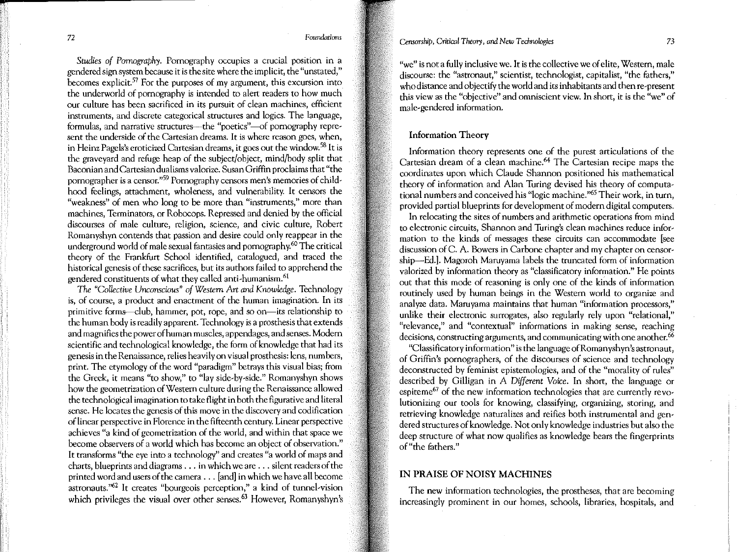*Studies of Pornography.* Pornography occupies a crucial position in a gendered sign system because it is the site where the implicit, the "unstated," becomes explicit.57 For the purposes of my argument, this excursion into the underworld of pornography is intended to alert readers to how much our culture has been sacrificed in its pursuit of clean machines, efficient instruments, and discrete categorical structures and logics. The language, formulas, and narrative structures—the "poetics"---of pornography represent the underside of the Cartesian dreams. It is where reason goes, when, in Heinz Pagels's eroticized Cartesian dreams, it goes out the window.58 It is the graveyard and refuge heap of the subject/object, mind/body split that Baconian and Cartesian dualisms valorize. Susan Griffin proclaims that "the pornographer is a censor."59 Pornography censors men's memories of childhood feelings, attachment, wholeness, and vulnerability. It censors the "weakness" of men who long to be more than "instruments," more than machines, Terminators, or Robocops. Repressed and denied by the official discourses of male culture, religion, science, and civic culture, Robert Romanyshyn contends that passion and desire could only reappear in the underground world of male sexual fantasies and pomography.<sup>60</sup> The critical theory of the Frankfurt School identified, catalogued, and traced the historical genesis of these sacrifices, but its authors failed to apprehend the gendered constituents of what they called anti-humanism.<sup>61</sup>

*The "Collective Unconscious" of Western Art and Knowledge.* Technology is, of course, a product and enactment of the human imagination. In its primitive forms-club, hammer, pot, rope, and so on-its relationship to the human body is readily apparent. Technology is a prosthesis that extends and magnifies the power of human muscles, appendages, and senses. Modem scientific and technological knowledge, the form of knowledge that had its genesis in the Renaissance, relies heavily on visual prosthesis: lens, numbers, print. The etymology of the word "paradigm" betrays this visual bias; from the Greek, it means "to show," to "lay side-by-side." Romanyshyn shows how the geometrization of Western culture during the Renaissance allowed the technological imagination to take flight in both the figurative and literal sense. He locates the genesis of this move in the discovery and codification of linear perspective in Florence in the fifteenth century. Linear perspective achieves "a kind of geometrization of the world, and within that space we become observers of a world which has become an object of observation." It transforms "the eye into a technology" and creates "a world of maps and charts, blueprints and diagrams ... in which we are ... silent readers of the printed word and users of the camera ... [and] in which we have all become astronauts."62 It creates "bourgeois perception," a kind of tunnel-vision which privileges the visual over other senses.<sup>63</sup> However, Romanyshyn's *Censorship, Critical Theory, and New Techrwlogies* 73

"we" is not a fully inclusive we. It is the collective we of elite, Western, male discourse: the "astronaut," scientist, technologist, capitalist, "the fathers," who distance and objectify the world and its inhabitants and then re-present this view as the "objective" and omniscient view. In short, it is the "we" of male-gendered information.

### Information Theory

Information theory represents one of the purest articulations of the Cartesian dream of a clean machine.64 The Cartesian recipe maps the coordinates upon which Claude Shannon positioned his mathematical theory of information and Alan Turing devised his theory of computational numbers and conceived his "logic machine."65 Their work, in tum, provided partial blueprints for development of modem digital computers.

In relocating the sites of numbers and arithmetic operations from mind to electronic circuits, Shannon and Turing's clean machines reduce information to the kinds of messages these circuits can accommodate [see discussion of C. A. Bowers in Carbone chapter and my chapter on censorship--Ed.]. Magoroh Maruyama labels the truncated form of information valorized by information theory as "classificatory information." He points out that this mode of reasoning is only one of the kinds of information routinely used by human beings in the Western world to organize and analyze data. Maruyama maintains that human "information processors," unlike their electronic surrogates, also regularly rely upon "relational," "relevance," and "contextual" informations in making sense, reaching decisions, constructing arguments, and communicating with one another.<sup>66</sup>

"Classificatory information" is the language ofRomanyshyn's astronaut, of Griffin's pornographers, of the discourses of science and technology deconstructed by feminist epistemologies, and of the "morality of rules" described by Gilligan in A *Different Voice.* In short, the language or espiteme<sup>67</sup> of the new information technologies that are currently revolutionizing our tools for knowing, classifying, organizing, storing, and retrieving knowledge naturalizes and reifies both instrumental and gendered structures of knowledge. Not only knowledge industries but also the deep structure of what now qualifies as knowledge bears the fingerprints of "the fathers."

### IN PRAISE OF NOISY MACHINES

The new information technologies, the prostheses, that are becoming increasingly prominent in our homes, schools, libraries, hospitals, and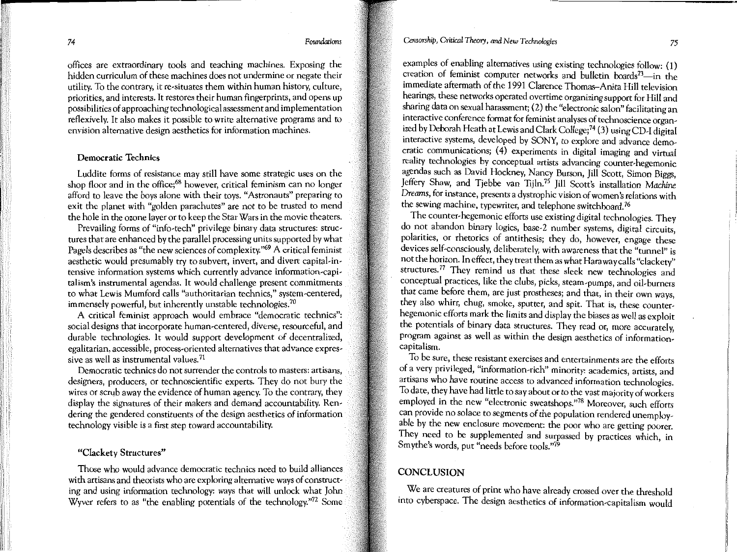offices are extraordinary tools and teaching machines. Exposing the hidden curriculum of these machines does not undermine or negate their utility. To the contrary, it re-situates them within human history, culture, priorities, and interests. It restores their human fingerprints, and opens up possibilities of approaching technological assessment and implementation reflexively. It also makes it possible to write alternative programs and to envision alternative design aesthetics for information machines.

### Democratic Technics

Luddite forms of resistance may still have some strategic uses on the shop floor and in the office;<sup>68</sup> however, critical feminism can no longer afford to leave the boys alone with their toys. "Astronauts" preparing to exit the planet with "golden parachutes" are not to be trusted to mend the hole in the orone layer or to keep the Star Wars in the movie theaters.

Prevailing forms of "info-tech" privilege binary data structures: structures that are enhanced by the parallel processing units supported by what Pagels describes as "the new sciences of complexity."69 A critical feminist aesthetic would presumably try to subvert, invert, and divert capital-intensive information systems which currently advance information-capitalism's instrumental agendas. It would challenge present commitments to what Lewis Mumford calls "authoritarian technics," system-centered, immensely powerful, but inherently unstable technologies.<sup>70</sup>

A critical feminist approach would embrace "democratic technics": social designs that incorporate human-centered, diverse, resourceful, and durable technologies. It would support development of decentralized, egalitarian, accessible, process-oriented alternatives that advance expressive as well as instrumental values.<sup>71</sup>

Democratic technics do not surrender the controls to masters: artisans, designers, producers, or technoscientific experts. They do not bury the wires or scrub away the evidence of human agency. To the contrary, they display the signatures of their makers and demand accountability. Rendering the gendered constituents of the design aesthetics of information technology visible is a first step toward accountability.

### "Clackety Structures"

Those who would advance democratic technics need to build alliances with artisans and theorists who are exploring alternative ways of constructing and using information technology: ways that will unlock what John Wyver refers to as "the enabling potentials of the technology."<sup>72</sup> Some

### *Censorship, Critical Theory, and New Technologies* <sup>75</sup>

examples of enabling alternatives using existing technologies follow: (1) creation of feminist computer networks and bulletin boards<sup>73</sup>-in the immediate aftermath of the 1991 Clarence Thomas-Anita Hill television hearings, these networks operated overtime organizing support for Hill and sharing data on sexual harassment; (2) the "electronic salon" facilitating an interactive conference format for feminist analyses of technoscience organized by Deborah Heath at Lewis and Clark College; 74 (3) using CD-I digital interactive systems, developed by SONY, to explore and advance democratic communications;  $(4)$  experiments in digital imaging and virtual reality technologies by conceptual artists advancing counter-hegemonic agendas such as David Hockney, Nancy Burson, Jill Scott, Simon Biggs, Jeffery Shaw, and Tjebbe van Tijln.<sup>75</sup> Jill Scott's installation *Machine Dreams,* for instance, presents a dystrophic vision of women's relations with the sewing machine, typewriter, and telephone switchboard. 76

The counter-hegemonic efforts use existing digital technologies. They do not abandon binary logics, base-2 number systems, digital circuits, polarities, or rhetorics of antithesis; they do, however, engage these devices self-consciously, deliberately, with awareness that the "tunnel" is not the horizon. In effect, they treat them as what Haraway calls "clackety" structures.<sup>77</sup> They remind us that these sleek new technologies and conceptual practices, like the clubs, picks, steam-pumps, and oil-burners that came before them, are just prostheses; and that, in their own ways, they also whirr, chug, smoke, sputter, and spit. That is, these counterhegemonic efforts mark the limits and display the biases as well as exploit the potentials of binary data structures. They read or, more accurately, program against as well as within the design aesthetics of informationcapitalism.

To be sure, these resistant exercises and entertainments are the efforts of a very privileged, "information-rich" minority: academics, artists, and artisans who have routine access to advanced information technologies. To date, they have had little to say about or to the vast majority of workers employed in the new "electronic sweatshops."78 Moreover, such efforts can provide no solace to segments of the population rendered unemployable by the new enclosure movement: the poor who are getting poorer. They need to be supplemented and surpassed by practices which, in Smythe's words, put "needs before tools."<sup>79</sup>

### CONCLUSION

We are creatures of print who have already crossed over the threshold into cyberspace. The design aesthetics of information-capitalism would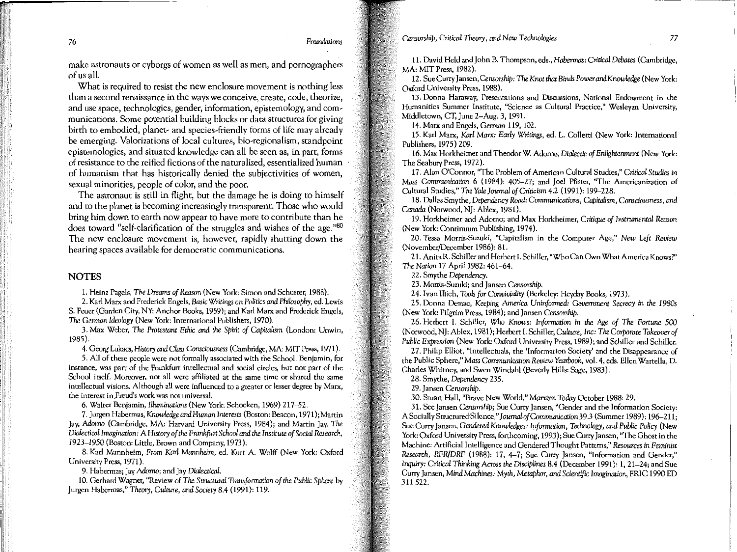make astronauts or cyborgs of women as well as men, and pornographers

of us all. What is required to resist the new enclosure movement is nothing less than a second renaissance in the ways we conceive, create, code, theorize, and use space, technologies, gender, information, epistemology, and communications. Some potential building blocks or data structures for giving birth to embodied, planet- and species-friendly forms of life may already be emerging. Valorizations of local cultures, bio-regionalism, standpoint epistemologies, and situated knowledge can all be seen as, in part, forms of resistance to the reified fictions of the naturalized, essentialized human of humanism that has historically denied the subjectivities of women, sexual minorities, people of color, and the poor.

The astronaut is still in flight, but the damage he is doing to himself and to the planet is becoming increasingly transparent. Those who would bring him down to earth now appear to have more to contribute than he does toward "self-clarification of the struggles and wishes of the age."80 The new enclosure movement is, however, rapidly shutting down the hearing spaces available for democratic communications.

### NOTES

 $\mathbf{I}$ I'

'I ii ,ii 1. Heinz Pagels, *The Dreams of Reason* (New York: Simon and Schuster, 1988).

2. Karl Marx and Frederick Engels, *Basic Writings on Poatics and Philosophy,* ed. Lewis S. Feuer (Garden City, NY: Anchor Books, 1959); and Karl Marx and Frederick Engels, *The German Ideology* (New York: International Publishers, 1970).

3. Max Weber, *The Protesumt Ethic and the Spirit of Capitalism* (London: Unwin, 1985).

4. Georg Lukacs, *History* and *Closs Consciousness* (Cambridge, MA: MIT Press, 1971 ).

**5. All of these people were not formally associated with the School. Benjamin, for instance, was part of the Frankfurt intellectual and social circles, but not part of the School itself. Moreover, not all were affiliated at the same time or shared the same intellectual visions. Although all were influenced to a greater or lesser degree by Marx, the interest in.Freud's work was not universal.** 

6. Walter Benjamin, *lllwninations* (New York: Schocken, 1969) 217-52.

7. Jurgen Habermas, *Knowledge and* Hwnan *Interests* (Boston: Beacon, 1971); Martin Jay, *Adorno* (Cambridge, MA: Harvard University Press, 1984); and Martin Jay, *The Dialectical* Imagination: A *History of the Frankfurt School and the Institute of Social Research, 1923-1950* (Boston: Little, Brown and Company, 1973).

8. Karl Mannheim, From *Karl Mannheim,* ed. Kurt A. Wolff (New York: Oxford University Press, 1971).

9. Habermas; Jay Adorno; and Jay *Dialectical.* 

10. Gerhard Wagner, "Review of *The Structural Transformation of the PubUc Sphere* by Jurgen Habermas," *Theory, Culture, and Society* 8.4 (1991): 119.

11. David Held and John B. Thompson, eds., *Habermas: Critical Debates* (Cambridge, MA: MIT Press, 1982).

12. Sue Curry Jansen, *Censorship: The Knot that Binds Power and Knowledge* (New York: Oxford University Press, 1988).

**13. Donna Haraway, Presentations and Discussions, National Endowment in the Humanities Summer Institute, "Science as Cultural Practice," Wesleyan University,**  Middletown, CT, June 2-Aug. 3, 1991.

14. Marx and Engels, *German* 119, 102.

15. Karl Marx, *Karl Marx: Early Writings,* ed. L. Colletti (New York: International Publishers, 1975) 209.

16. Max Horkheimer and Theodor W. Adorno, *Dialectic of EnUghrenment* (New York: The Seabury Press, 1972).

**17. Alan O'Connor, "The Problem of American Cultural Studies,"** *Critical Studies in*  Mass *Communication* 6 (1984): 405-27; and Joel Pfister, ''The Americanization of Cultural Studies," *The Yale]ournol of* Criticism 4.2 (1991): 199-228.

18. Dallas Smythe, *Dependency Road: Communications, Capitalism, Consciousness, and Canada* (Norwood, NJ: Ablex, 1981).

19. Horkheimer and Adorno; and Max Horkheimer, *Critique of lnstrwnental Reason*  (New York: Continuum Publishing, 1974).

**20. Tessa Morris-Suzuki, "Capitalism in the Computer Age,"** *New Left Review*  (November/December 1986): 81.

**21. Anita R. Schiller and Herbert I. Schiller, uwho Can Own What America Knows?"**  *The Nation* 17 April 1982: 461-64.

22. Smythe *Dependency.* 

**23. Morris-Suzuki; and Jansen** *Censorship.* 

24. I van Illich, *Tooh for Conviviality* (Berkeley: Heyday Books, 197 *3* ).

25. Donna De mac, *Keeping America Uninformed: Government Secrecy* in *the 1980s*  (New York: Pilgrim Press, 1984); and Jansen *Censorship.* 

26. Herbert I. Schiller, Who Knows: *Information* in *the Age of The Fortune 500*  (Norwood, NJ: Ablex, 1981); Herbert I. Schiller, *Cuhure,* Inc: *The Corporate Tokeoverof*  Public Expression (New York: Oxford University Press, 1989); and Schiller and Schiller.

**27. Philip Elliot, "Intellectuals, the 'Information Society' and the Disappearance of**  the Public Sphere," *Mass Communication Review Yearbook,* vol. 4, eds. Ellen Wartella, D. Charles Whitney, and Swen Windahl (Beverly Hills: Sage, 1983).

28. Smythe, *Dependency* 235.

29. Jansen *Censorship.* 

30. Stuart Hall, "Brave New World," Marxism *Today* October 1988: 29.

**31. See Jansen** *Censorshipi* **Sue Curry Jansen, "Gender and the Information Society:**  A Socially StructuredSilence," *]ournolofCommunication39.3* (Summer 1989): 196-211; Sue Curry Jansen, *Gendered Knowledges: Information, Technology, and Public Policy* (New **York: Oxford University Press, forthcoming, 1993); Sue Curry Jansen, "The Ghost in the Machine: Artificial Intelligence and Gendered Thought Patterns,"** *Resources in Feminise Research, RFR/DRF* (1988): 17, 4-7; Sue Curry Jansen, "Information and Gender," *Inquiry: Critical Thinking Across the Disciplines 8.4 (December 1991): 1, 21–24; and Sue* Curty Jansen, Mind *Machines:* Myth, *Metaphor, and Scientific Imagination,* ERIC 1990 ED 311 522 .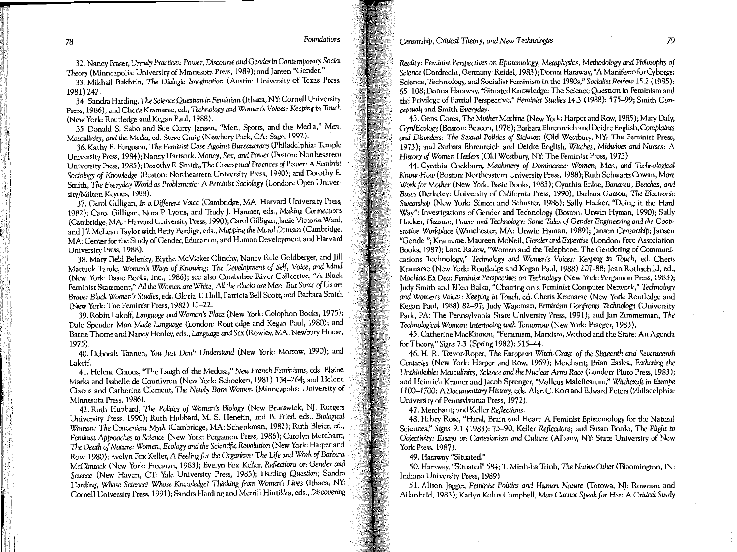78 *Foundations* 

**32. Nancy Fraser,** *Unruly Practices: Power, Discourse* **and** *Gender in Contemporary Social Theory* **(Minneapolis: University of Minnesota Press, 1989); and** *]* **ansen "Gender."** 

33. Mikhail Bakhtin, *The Dialogic Imagination* (Austin: University of Texas Press, 1981) 242.

34. Sandra Harding, *The Science Question in Feminism* (Ithaca, NY: Cornell University Press, 1986); and Cheris Kramarae, ed., *Technology and Women's Voices: Keeping in Touch*  (New York: Routledge and Kegan Paul, 1988).

**35. Donald S. Sabo and Sue Curry Jansen, 11Men, Sports, and the Media,"** *Men, Masculinity, and the Media,* ed. Steve Craig (Newbury Park, CA: Sage, 1992).

36. Kathy E. Ferguson, *The Feminist Case Against Bureaucracy* (Philadelphia: Temple **University Press, 1984 ); Nancy Hartsock, Money,** *Sex,* **and** *Power* **(Boston: Northeastern**  University Press, 1985); Dorothy E. Smith, *The Conceptual Practices of* Power: A *Feminist Sociology of Knowledge* (Boston: Northeastern University Press, 1990); and Dorothy E. Smith, *The Everyday World as* Problematic: A *Feminist Sociology* (London: Open University/Milton Keynes, 1988).

**37. Carol Gilligan,** *In a Different Voice* **(Cambridge, MA: Harvard University Press,**  1982); Carol Gilligan, Nora P. Lyons, and Trudy J. Hanmer, eds., *Making Connections*  (Cambridge, MA.: Harvard University Press, 1990);Carol Gilligan, Janie Victoria Ward, and Jill McLean Taylor with Betty Bardige, eds., *Mapping the Moral Domain* (Cambridge, **MA: Center for the Study of Gender, Education, and Human Development and Harvard**  University Press, 1988).

38. Mary Field Belenky, Blythe Mc Vicker Clinchy, Nancy Rule Goldberger, and Jill Mattuck Tarule, *Women's Ways of Knowing: The Development of Self, Voice, and* Mind **(New York: Basic Books, Inc., 1986); see also Combahec River Collective, "A Black Feminist Statement,"** *AU the Women are White, All the Blacks are Men, But Some of Us are Brave: Black Women's Studies,* eds. Gloria T. Hull, Patricia Bell Scott, and Barbara Smith (New York: The Feminist Press, 1982) 13-22.

39. Robin Lakoff, Language and Woman's Place (New York: Colophon Books, 1975); Dale Spender, *Man Maile Language* (London: Routledge and Kegan Paul, 1980); and Barrie Thome and Nancy Henley, eds., *Language and Sex* (Rowley, MA: Newbury House, 1975).

40. Deborah Tannen, *You Just* Don't *Understand* (New York: Morrow, 1990); and Lakoff.

**41. Helene Cixous, "The Laugh of the Medusa,"** *New French Feminisms,* **eds. Elaine**  Marks and Isabelle de Courtivron (New York: Schocken, 1981) 134-264; and Helene **Cixous and Catherine Clement,** *The Newly* **Born** *Woman* **(Minneapolis: University of**  Minnesota Press, 1986).

42. Ruth Hubbard, *The Politics of Woman's Biology* (New Brunswick, NJ: Rutgers University Press, 1990); Ruth Hubbard, M. S. Henefin, and B. Fried, eds., *Biological Woman: The Convenient Myth* (Cambridge, MA: Schenkman, 1982); Ruth Bleier, ed., Feminist *Approaches to Science* (New York: Pergamon Press, 1986); Carolyn Merchant, *The Death of Nature: Women, Ecology and the Scientific Revolution* (New York: Harper and Row, 1980); Evelyn Fox Keller, A *Feeling for the Organism: The Life and Work of Barbara McClintnck* (New York: Freeman, 1983); Evelyn Fox Keller, *Reflections on Gender and*  Science (New Haven, CT: Yale University Press, 1985); Harding Question; Sandra Harding, Whose *Science? Whose Knowledge? Thinking from Women's Lives* (Ithaca, NY: **Cornell University Press, 1991 ); Sandra Harding and Merrill Hintikka, eds.,** *Discovering*  Rea/icy: Feminist *Perspectives on Epistemology, Metaphysics, Methodology and Philosophy of Science* (Dordrecht, Germany: Reidel, 1983); Donna Haraway, "A Manifesto for Cyborgs: Science, Technology, and Socialist Feminism in the 1980s," *Socialist Review* 15.2 (1985): **65-108; Donna Haraway, "Situated Knowledge: The Science Question in Feminism and**  the Privilege of Partial Perspective," *Feminist Studies* 14.3 (1988): 575-99; Smith *Conceptual;* and Smith *Everyday.* 

43. Gena Corea, *The Mother Machine* (New York: Harper and Row, 1985); Mary Daly, *Gyn/Ecology* (Boston: Beacon, 1978 ); Barbara Ehrenreich and Deidre English, *Complaints and Disorders: The Sexual Politics of Sickness (Old Westbury, NY: The Feminist Press,* 1973); and Barbara Ehrenreich and Deidre English, *Witches, Midwives and* Nurses: A History *of Women* Healers (Old Westbury, NY: The Feminist Press, 1973 ).

44. Cynthia Cockburn, *Machinery of Dominance: Women, Men, and Technological*  Know~How **(Boston: Northeastern University Press, 1988)i Ruth Schwartz Cowan,** *More Work for Mother* (New York: Basic Books, 1983 ); Cynthia Enloe, *Bananas, Beaches, and*  Bases (Berkeley: University of California Press, 1990); Barbara Garson, The Electronic *Sweatshop* (New York: Simon and Schuster, 1988); Sally Hacker, ''Doing it the Hard **Way": Investigations of Gender and Technology (Boston: Unwin Hyman, 1990); Sally**  Hacker, *Pleasure,* Power *and Technology: Some* Tales *of* Gender *Engineering and the Cooperative Workploce* (Winchester, MA: Unwin Hyman, 1989); Jansen *Censorship;* Jansen **"Gender"i Kramaraei Maureen McNeil,** *Gender and Expertise* **(London: Free Association Books, 1987)j Lana Rakow, 'Women and the Telephone: The Gendering of** Communi~ **cations Technology,"** *Techrwlogy* **and** *Women's Voices: Keeping* **in** *Touch,* **ed. Cheris**  Kramarae (New York: Routledge and Kegan Paul, 1988) 207-88; Joan Rothschild, ed., *Machina* Ex *Dea: Feminist Perspectives on Technology* (New York: Pergamon Press, 1983); **Judy Smith and Ellen Balka, "Chatting on a Feminist Computer Network,"** *Technology*  **and** *Women's Voices: Keeping in Touch,* **ed. Cheris Kramarae (New York: Routledge and**  Kegan Paul, 1988) 82-97; Judy Wajcman, Feminism *Confronts Technology* (University **Park, PA: The Pennsylvania Srate University Press, 199l)i and Jan Zimmerman,** *The Technological Woman: Interfacing with Tomorrow* (New York: Praeger, 1983).

**45. Catherine MacKinnon, "Feminism, Marxism, Method and the State: An Agenda**  for Theory," *Signs* 7.3(Spring1982): 515-44.

46. H. R. Trevor-Roper, *The European Witch-Craze of the Sixteenth and Seventeenth Centuries* (New York: Harper and Row, 1969); Merchant; Brian Easlea, Fathering the *Unthinkable: Masculinit)', Science andthe Nuclear Anns* Race (London: Pluto Press, 1983 ); **and Heinrich Kramer and Jacob Sprenger, "Mallcus Maleficarum.''** *Witchcraft in Europe 1100-1700:* A *Documentary History,* eds. Alan C. Kors and Edward Peters (Philadelphia: **University of Pennsylvania Press, 1972).** 

47. Merchant; and Keller *Reflections.* 

**48. Hilary Rose, "Hand, Brain and Heart: A Feminist Epistemology for the Natural**  Sciences," *Signs* 9.1 (1983 ): 73-90; Keller *Reflections;* and Susan Bordo, *The FUght* to *Objectivity: Essays on* Cartesianism *and Culture* (Albany, NY: State University of New York Press, 1987).

**49. Haraway "Situated."** 

50. Haraway, "Situated" 584; T. Minh-ha Trinh, *The Native Other* (Bloomington, IN: Indiana University Press, 1989).

51. Alison Jagger, *Feminist Politics and* Humon *Nature* (Totowa, NJ: Rowman and Allanheld, 1983 ); Karlyn Kohrs Campbell, *Man Cannot Speak for* Her: A *Critical Study*